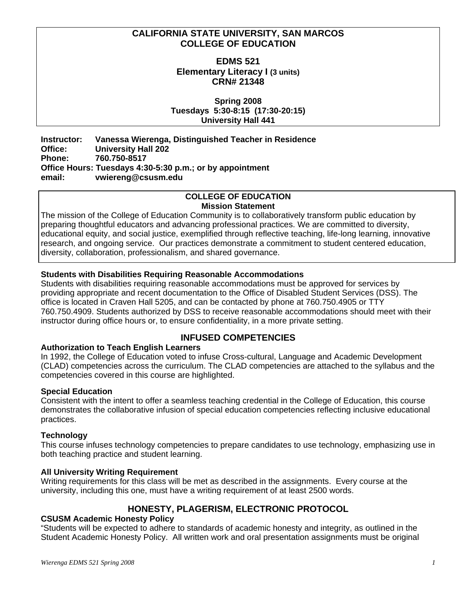## **CALIFORNIA STATE UNIVERSITY, SAN MARCOS COLLEGE OF EDUCATION**

## **EDMS 521 Elementary Literacy I (3 units) CRN# 21348**

**Spring 2008 Tuesdays 5:30-8:15 (17:30-20:15) University Hall 441** 

**Instructor: Vanessa Wierenga, Distinguished Teacher in Residence Office: University Hall 202 Phone: 760.750-8517 Office Hours: Tuesdays 4:30-5:30 p.m.; or by appointment email: vwiereng@csusm.edu** 

#### **COLLEGE OF EDUCATION Mission Statement**

The mission of the College of Education Community is to collaboratively transform public education by preparing thoughtful educators and advancing professional practices. We are committed to diversity, educational equity, and social justice, exemplified through reflective teaching, life-long learning, innovative research, and ongoing service. Our practices demonstrate a commitment to student centered education, diversity, collaboration, professionalism, and shared governance.

## **Students with Disabilities Requiring Reasonable Accommodations**

Students with disabilities requiring reasonable accommodations must be approved for services by providing appropriate and recent documentation to the Office of Disabled Student Services (DSS). The office is located in Craven Hall 5205, and can be contacted by phone at 760.750.4905 or TTY 760.750.4909. Students authorized by DSS to receive reasonable accommodations should meet with their instructor during office hours or, to ensure confidentiality, in a more private setting.

## **INFUSED COMPETENCIES**

## **Authorization to Teach English Learners**

In 1992, the College of Education voted to infuse Cross-cultural, Language and Academic Development (CLAD) competencies across the curriculum. The CLAD competencies are attached to the syllabus and the competencies covered in this course are highlighted.

## **Special Education**

Consistent with the intent to offer a seamless teaching credential in the College of Education, this course demonstrates the collaborative infusion of special education competencies reflecting inclusive educational practices.

## **Technology**

This course infuses technology competencies to prepare candidates to use technology, emphasizing use in both teaching practice and student learning.

## **All University Writing Requirement**

Writing requirements for this class will be met as described in the assignments. Every course at the university, including this one, must have a writing requirement of at least 2500 words.

## **HONESTY, PLAGERISM, ELECTRONIC PROTOCOL**

## **CSUSM Academic Honesty Policy**

"Students will be expected to adhere to standards of academic honesty and integrity, as outlined in the Student Academic Honesty Policy. All written work and oral presentation assignments must be original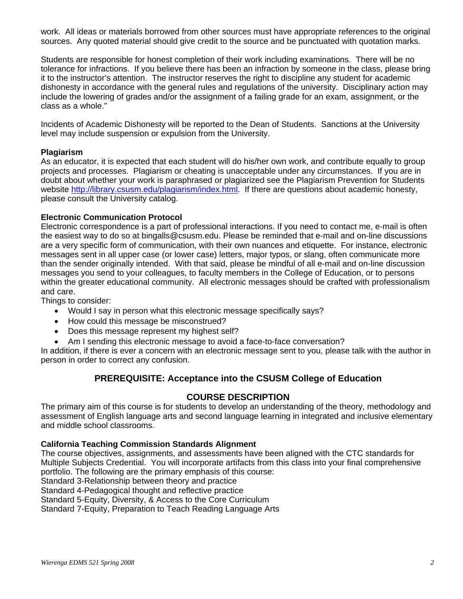work. All ideas or materials borrowed from other sources must have appropriate references to the original sources. Any quoted material should give credit to the source and be punctuated with quotation marks.

Students are responsible for honest completion of their work including examinations. There will be no tolerance for infractions. If you believe there has been an infraction by someone in the class, please bring it to the instructor's attention. The instructor reserves the right to discipline any student for academic dishonesty in accordance with the general rules and regulations of the university. Disciplinary action may include the lowering of grades and/or the assignment of a failing grade for an exam, assignment, or the class as a whole."

Incidents of Academic Dishonesty will be reported to the Dean of Students. Sanctions at the University level may include suspension or expulsion from the University.

## **Plagiarism**

As an educator, it is expected that each student will do his/her own work, and contribute equally to group projects and processes. Plagiarism or cheating is unacceptable under any circumstances. If you are in doubt about whether your work is paraphrased or plagiarized see the Plagiarism Prevention for Students website http://library.csusm.edu/plagiarism/index.html. If there are questions about academic honesty, please consult the University catalog.

#### **Electronic Communication Protocol**

Electronic correspondence is a part of professional interactions. If you need to contact me, e-mail is often the easiest way to do so at bingalls@csusm.edu. Please be reminded that e-mail and on-line discussions are a very specific form of communication, with their own nuances and etiquette. For instance, electronic messages sent in all upper case (or lower case) letters, major typos, or slang, often communicate more than the sender originally intended. With that said, please be mindful of all e-mail and on-line discussion messages you send to your colleagues, to faculty members in the College of Education, or to persons within the greater educational community. All electronic messages should be crafted with professionalism and care.

Things to consider:

- Would I say in person what this electronic message specifically says?
- How could this message be misconstrued?
- Does this message represent my highest self?
- Am I sending this electronic message to avoid a face-to-face conversation?

In addition, if there is ever a concern with an electronic message sent to you, please talk with the author in person in order to correct any confusion.

## **PREREQUISITE: Acceptance into the CSUSM College of Education**

## **COURSE DESCRIPTION**

The primary aim of this course is for students to develop an understanding of the theory, methodology and assessment of English language arts and second language learning in integrated and inclusive elementary and middle school classrooms.

#### **California Teaching Commission Standards Alignment**

The course objectives, assignments, and assessments have been aligned with the CTC standards for Multiple Subjects Credential. You will incorporate artifacts from this class into your final comprehensive portfolio. The following are the primary emphasis of this course:

Standard 3-Relationship between theory and practice

Standard 4-Pedagogical thought and reflective practice

Standard 5-Equity, Diversity, & Access to the Core Curriculum

Standard 7-Equity, Preparation to Teach Reading Language Arts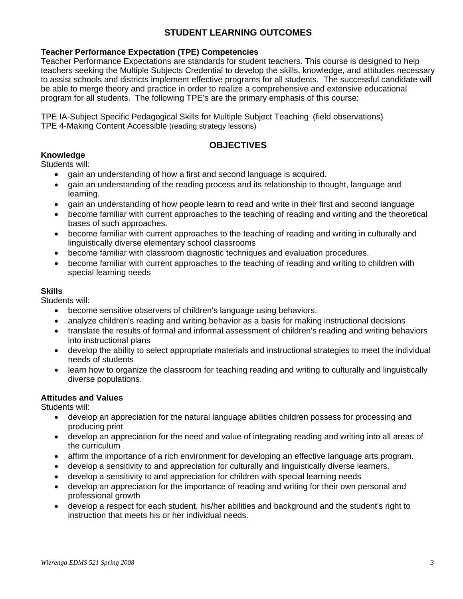## **STUDENT LEARNING OUTCOMES**

## **Teacher Performance Expectation (TPE) Competencies**

Teacher Performance Expectations are standards for student teachers. This course is designed to help teachers seeking the Multiple Subjects Credential to develop the skills, knowledge, and attitudes necessary to assist schools and districts implement effective programs for all students. The successful candidate will be able to merge theory and practice in order to realize a comprehensive and extensive educational program for all students. The following TPE's are the primary emphasis of this course:

TPE IA-Subject Specific Pedagogical Skills for Multiple Subject Teaching (field observations) TPE 4-Making Content Accessible (reading strategy lessons)

## **OBJECTIVES**

## **Knowledge**

Students will:

- gain an understanding of how a first and second language is acquired.
- gain an understanding of the reading process and its relationship to thought, language and learning.
- gain an understanding of how people learn to read and write in their first and second language
- become familiar with current approaches to the teaching of reading and writing and the theoretical bases of such approaches.
- become familiar with current approaches to the teaching of reading and writing in culturally and linguistically diverse elementary school classrooms
- become familiar with classroom diagnostic techniques and evaluation procedures.
- become familiar with current approaches to the teaching of reading and writing to children with special learning needs

#### **Skills**

Students will:

- become sensitive observers of children's language using behaviors.
- analyze children's reading and writing behavior as a basis for making instructional decisions
- translate the results of formal and informal assessment of children's reading and writing behaviors into instructional plans
- develop the ability to select appropriate materials and instructional strategies to meet the individual needs of students
- learn how to organize the classroom for teaching reading and writing to culturally and linguistically diverse populations.

## **Attitudes and Values**

Students will:

- develop an appreciation for the natural language abilities children possess for processing and producing print
- develop an appreciation for the need and value of integrating reading and writing into all areas of the curriculum
- affirm the importance of a rich environment for developing an effective language arts program.
- develop a sensitivity to and appreciation for culturally and linguistically diverse learners.
- develop a sensitivity to and appreciation for children with special learning needs
- develop an appreciation for the importance of reading and writing for their own personal and professional growth
- develop a respect for each student, his/her abilities and background and the student's right to instruction that meets his or her individual needs.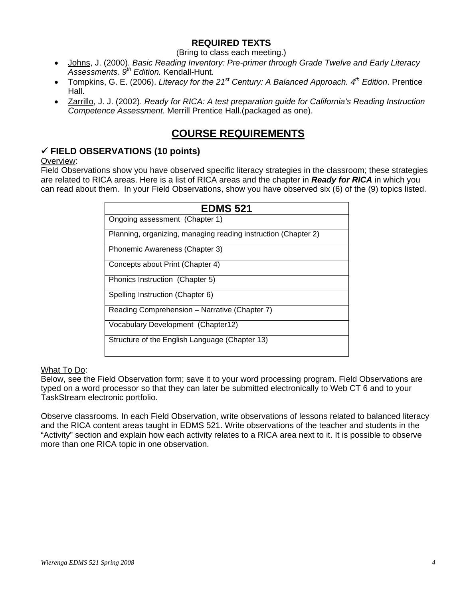## **REQUIRED TEXTS**

(Bring to class each meeting.)

- Johns, J. (2000). *Basic Reading Inventory: Pre-primer through Grade Twelve and Early Literacy Assessments. 9th Edition.* Kendall-Hunt.
- Tompkins, G. E. (2006). *Literacy for the 21st Century: A Balanced Approach. 4th Edition*. Prentice Hall.
- Zarrillo, J. J. (2002). *Ready for RICA: A test preparation guide for California's Reading Instruction Competence Assessment.* Merrill Prentice Hall.(packaged as one).

## **COURSE REQUIREMENTS**

## 9 **FIELD OBSERVATIONS (10 points)**

## Overview:

Field Observations show you have observed specific literacy strategies in the classroom; these strategies are related to RICA areas. Here is a list of RICA areas and the chapter in *Ready for RICA* in which you can read about them. In your Field Observations, show you have observed six (6) of the (9) topics listed.

| <b>EDMS 521</b>                                                |
|----------------------------------------------------------------|
| Ongoing assessment (Chapter 1)                                 |
| Planning, organizing, managing reading instruction (Chapter 2) |
| Phonemic Awareness (Chapter 3)                                 |
| Concepts about Print (Chapter 4)                               |
| Phonics Instruction (Chapter 5)                                |
| Spelling Instruction (Chapter 6)                               |
| Reading Comprehension - Narrative (Chapter 7)                  |
| Vocabulary Development (Chapter12)                             |
| Structure of the English Language (Chapter 13)                 |

## What To Do:

Below, see the Field Observation form; save it to your word processing program. Field Observations are typed on a word processor so that they can later be submitted electronically to Web CT 6 and to your TaskStream electronic portfolio.

Observe classrooms. In each Field Observation, write observations of lessons related to balanced literacy and the RICA content areas taught in EDMS 521. Write observations of the teacher and students in the "Activity" section and explain how each activity relates to a RICA area next to it. It is possible to observe more than one RICA topic in one observation.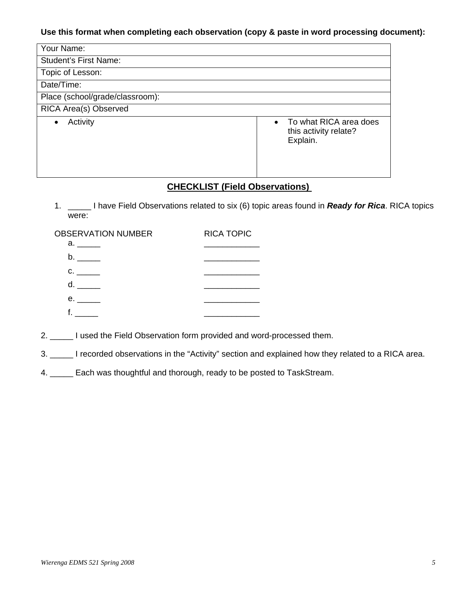## **Use this format when completing each observation (copy & paste in word processing document):**

| Your Name:                      |                                                                          |
|---------------------------------|--------------------------------------------------------------------------|
| <b>Student's First Name:</b>    |                                                                          |
| Topic of Lesson:                |                                                                          |
| Date/Time:                      |                                                                          |
| Place (school/grade/classroom): |                                                                          |
| RICA Area(s) Observed           |                                                                          |
| Activity<br>$\bullet$           | To what RICA area does<br>$\bullet$<br>this activity relate?<br>Explain. |

## **CHECKLIST (Field Observations)**

1. \_\_\_\_\_ I have Field Observations related to six (6) topic areas found in *Ready for Rica*. RICA topics were:

| <b>OBSERVATION NUMBER</b>                                                                                      | <b>RICA TOPIC</b> |
|----------------------------------------------------------------------------------------------------------------|-------------------|
| a. In the set of the set of the set of the set of the set of the set of the set of the set of the set of the s |                   |
| b. a                                                                                                           |                   |
| $\mathbf{C}$ .                                                                                                 |                   |
| d.                                                                                                             |                   |
| e. In the set                                                                                                  |                   |
|                                                                                                                |                   |

2. \_\_\_\_\_ I used the Field Observation form provided and word-processed them.

3. \_\_\_\_\_ I recorded observations in the "Activity" section and explained how they related to a RICA area.

4. \_\_\_\_\_ Each was thoughtful and thorough, ready to be posted to TaskStream.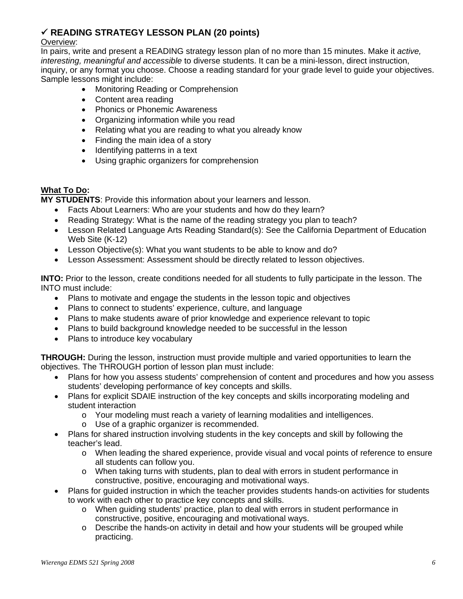## 9 **READING STRATEGY LESSON PLAN (20 points)**

#### Overview:

In pairs, write and present a READING strategy lesson plan of no more than 15 minutes. Make it *active, interesting, meaningful and accessible* to diverse students. It can be a mini-lesson, direct instruction, inquiry, or any format you choose. Choose a reading standard for your grade level to guide your objectives. Sample lessons might include:

- Monitoring Reading or Comprehension
- Content area reading
- Phonics or Phonemic Awareness
- Organizing information while you read
- Relating what you are reading to what you already know
- Finding the main idea of a story
- Identifying patterns in a text
- Using graphic organizers for comprehension

## **What To Do:**

**MY STUDENTS**: Provide this information about your learners and lesson.

- Facts About Learners: Who are your students and how do they learn?
- Reading Strategy: What is the name of the reading strategy you plan to teach?
- Lesson Related Language Arts Reading Standard(s): See the California Department of Education Web Site (K-12)
- Lesson Objective(s): What you want students to be able to know and do?
- Lesson Assessment: Assessment should be directly related to lesson objectives.

**INTO:** Prior to the lesson, create conditions needed for all students to fully participate in the lesson. The INTO must include:

- Plans to motivate and engage the students in the lesson topic and objectives
- Plans to connect to students' experience, culture, and language
- Plans to make students aware of prior knowledge and experience relevant to topic
- Plans to build background knowledge needed to be successful in the lesson
- Plans to introduce key vocabulary

**THROUGH:** During the lesson, instruction must provide multiple and varied opportunities to learn the objectives. The THROUGH portion of lesson plan must include:

- Plans for how you assess students' comprehension of content and procedures and how you assess students' developing performance of key concepts and skills.
- Plans for explicit SDAIE instruction of the key concepts and skills incorporating modeling and student interaction
	- o Your modeling must reach a variety of learning modalities and intelligences.
	- o Use of a graphic organizer is recommended.
- Plans for shared instruction involving students in the key concepts and skill by following the teacher's lead.
	- o When leading the shared experience, provide visual and vocal points of reference to ensure all students can follow you.
	- o When taking turns with students, plan to deal with errors in student performance in constructive, positive, encouraging and motivational ways.
- Plans for guided instruction in which the teacher provides students hands-on activities for students to work with each other to practice key concepts and skills.
	- o When guiding students' practice, plan to deal with errors in student performance in constructive, positive, encouraging and motivational ways.
	- $\circ$  Describe the hands-on activity in detail and how your students will be grouped while practicing.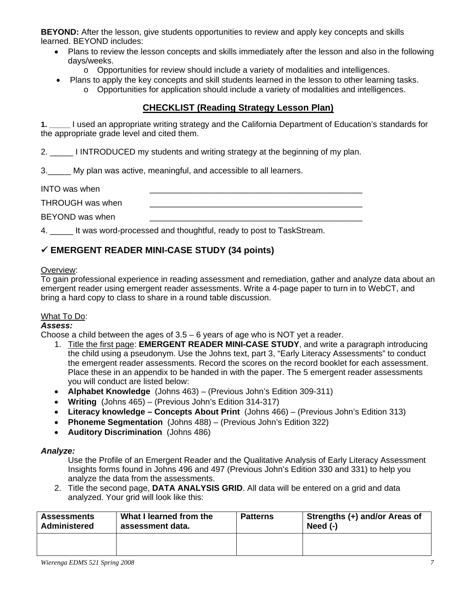**BEYOND:** After the lesson, give students opportunities to review and apply key concepts and skills learned. BEYOND includes:

- Plans to review the lesson concepts and skills immediately after the lesson and also in the following days/weeks.
	- $\circ$  Opportunities for review should include a variety of modalities and intelligences.
- Plans to apply the key concepts and skill students learned in the lesson to other learning tasks.
	- o Opportunities for application should include a variety of modalities and intelligences.

## **CHECKLIST (Reading Strategy Lesson Plan)**

**1. \_\_\_\_\_** I used an appropriate writing strategy and the California Department of Education's standards for the appropriate grade level and cited them.

2. \_\_\_\_\_ I INTRODUCED my students and writing strategy at the beginning of my plan.

3.\_\_\_\_\_ My plan was active, meaningful, and accessible to all learners.

| <b>INTO</b> was when |  |
|----------------------|--|
| THROUGH was when     |  |
| BEYOND was when      |  |

4. \_\_\_\_\_ It was word-processed and thoughtful, ready to post to TaskStream.

## 9 **EMERGENT READER MINI-CASE STUDY (34 points)**

## Overview:

To gain professional experience in reading assessment and remediation, gather and analyze data about an emergent reader using emergent reader assessments. Write a 4-page paper to turn in to WebCT, and bring a hard copy to class to share in a round table discussion.

## What To Do:

## *Assess:*

Choose a child between the ages of  $3.5 - 6$  years of age who is NOT yet a reader.

- 1. Title the first page: **EMERGENT READER MINI-CASE STUDY**, and write a paragraph introducing the child using a pseudonym. Use the Johns text, part 3, "Early Literacy Assessments" to conduct the emergent reader assessments. Record the scores on the record booklet for each assessment. Place these in an appendix to be handed in with the paper. The 5 emergent reader assessments you will conduct are listed below:
- **Alphabet Knowledge** (Johns 463) (Previous John's Edition 309-311)
- **Writing** (Johns 465) (Previous John's Edition 314-317)
- **Literacy knowledge Concepts About Print** (Johns 466) (Previous John's Edition 313)
- **Phoneme Segmentation** (Johns 488) (Previous John's Edition 322)
- **Auditory Discrimination** (Johns 486)

## *Analyze:*

Use the Profile of an Emergent Reader and the Qualitative Analysis of Early Literacy Assessment Insights forms found in Johns 496 and 497 (Previous John's Edition 330 and 331) to help you analyze the data from the assessments.

2. Title the second page, **DATA ANALYSIS GRID**. All data will be entered on a grid and data analyzed. Your grid will look like this:

| <b>Assessments</b>  | What I learned from the |  | Strengths (+) and/or Areas of |
|---------------------|-------------------------|--|-------------------------------|
| <b>Administered</b> | assessment data.        |  | Need $(-)$                    |
|                     |                         |  |                               |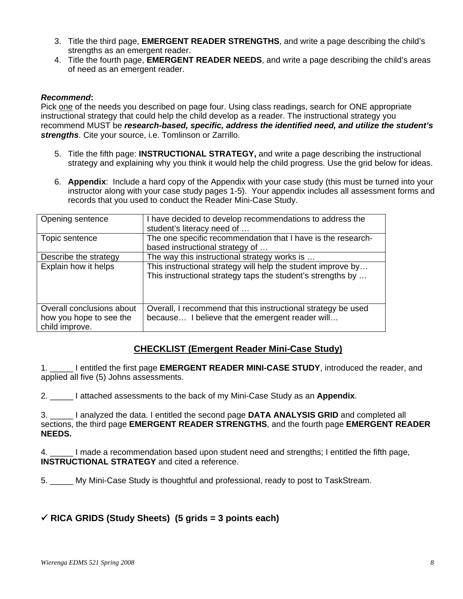- 3. Title the third page, **EMERGENT READER STRENGTHS**, and write a page describing the child's strengths as an emergent reader.
- 4. Title the fourth page, **EMERGENT READER NEEDS**, and write a page describing the child's areas of need as an emergent reader.

#### *Recommend***:**

Pick one of the needs you described on page four. Using class readings, search for ONE appropriate instructional strategy that could help the child develop as a reader. The instructional strategy you recommend MUST be *research-based, specific, address the identified need, and utilize the student's strengths*. Cite your source, i.e. Tomlinson or Zarrillo.

- 5. Title the fifth page: **INSTRUCTIONAL STRATEGY,** and write a page describing the instructional strategy and explaining why you think it would help the child progress. Use the grid below for ideas.
- 6. **Appendix**: Include a hard copy of the Appendix with your case study (this must be turned into your instructor along with your case study pages 1-5). Your appendix includes all assessment forms and records that you used to conduct the Reader Mini-Case Study.

| Opening sentence                                                       | have decided to develop recommendations to address the<br>student's literacy need of                                        |
|------------------------------------------------------------------------|-----------------------------------------------------------------------------------------------------------------------------|
| Topic sentence                                                         | The one specific recommendation that I have is the research-<br>based instructional strategy of                             |
| Describe the strategy                                                  | The way this instructional strategy works is                                                                                |
| Explain how it helps                                                   | This instructional strategy will help the student improve by<br>This instructional strategy taps the student's strengths by |
| Overall conclusions about<br>how you hope to see the<br>child improve. | Overall, I recommend that this instructional strategy be used<br>because I believe that the emergent reader will            |

## **CHECKLIST (Emergent Reader Mini-Case Study)**

1. \_\_\_\_\_ I entitled the first page **EMERGENT READER MINI-CASE STUDY**, introduced the reader, and applied all five (5) Johns assessments.

2. \_\_\_\_\_ I attached assessments to the back of my Mini-Case Study as an **Appendix**.

3. \_\_\_\_\_ I analyzed the data. I entitled the second page **DATA ANALYSIS GRID** and completed all sections, the third page **EMERGENT READER STRENGTHS**, and the fourth page **EMERGENT READER NEEDS.** 

4. \_\_\_\_\_ I made a recommendation based upon student need and strengths; I entitled the fifth page, **INSTRUCTIONAL STRATEGY** and cited a reference.

5. \_\_\_\_\_ My Mini-Case Study is thoughtful and professional, ready to post to TaskStream.

## 9 **RICA GRIDS (Study Sheets) (5 grids = 3 points each)**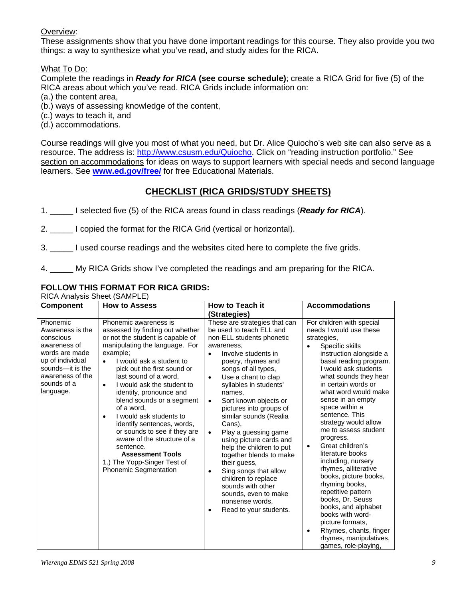## Overview:

These assignments show that you have done important readings for this course. They also provide you two things: a way to synthesize what you've read, and study aides for the RICA.

What To Do:

Complete the readings in *Ready for RICA* **(see course schedule)**; create a RICA Grid for five (5) of the RICA areas about which you've read. RICA Grids include information on:

(a.) the content area,

(b.) ways of assessing knowledge of the content,

(c.) ways to teach it, and

(d.) accommodations.

Course readings will give you most of what you need, but Dr. Alice Quiocho's web site can also serve as a resource. The address is: http://www.csusm.edu/Quiocho. Click on "reading instruction portfolio." See section on accommodations for ideas on ways to support learners with special needs and second language learners. See **www.ed.gov/free/** for free Educational Materials.

## **CHECKLIST (RICA GRIDS/STUDY SHEETS)**

1. \_\_\_\_\_ I selected five (5) of the RICA areas found in class readings (*Ready for RICA*).

2. \_\_\_\_\_ I copied the format for the RICA Grid (vertical or horizontal).

3. \_\_\_\_\_ I used course readings and the websites cited here to complete the five grids.

4. \_\_\_\_\_ My RICA Grids show I've completed the readings and am preparing for the RICA.

## **FOLLOW THIS FORMAT FOR RICA GRIDS:**

RICA Analysis Sheet (SAMPLE)

| <b>Component</b>                                                                                                                                                    | <b>How to Assess</b>                                                                                                                                                                                                                                                                                                                                                                                                                                                                                                                                                                                     | How to Teach it                                                                                                                                                                                                                                                                                                                                                                                                                                                                                                                                                                                                                                                               | <b>Accommodations</b>                                                                                                                                                                                                                                                                                                                                                                                                                                                                                                                                                                                                                                                                             |
|---------------------------------------------------------------------------------------------------------------------------------------------------------------------|----------------------------------------------------------------------------------------------------------------------------------------------------------------------------------------------------------------------------------------------------------------------------------------------------------------------------------------------------------------------------------------------------------------------------------------------------------------------------------------------------------------------------------------------------------------------------------------------------------|-------------------------------------------------------------------------------------------------------------------------------------------------------------------------------------------------------------------------------------------------------------------------------------------------------------------------------------------------------------------------------------------------------------------------------------------------------------------------------------------------------------------------------------------------------------------------------------------------------------------------------------------------------------------------------|---------------------------------------------------------------------------------------------------------------------------------------------------------------------------------------------------------------------------------------------------------------------------------------------------------------------------------------------------------------------------------------------------------------------------------------------------------------------------------------------------------------------------------------------------------------------------------------------------------------------------------------------------------------------------------------------------|
|                                                                                                                                                                     |                                                                                                                                                                                                                                                                                                                                                                                                                                                                                                                                                                                                          | (Strategies)                                                                                                                                                                                                                                                                                                                                                                                                                                                                                                                                                                                                                                                                  |                                                                                                                                                                                                                                                                                                                                                                                                                                                                                                                                                                                                                                                                                                   |
| Phonemic<br>Awareness is the<br>conscious<br>awareness of<br>words are made<br>up of individual<br>sounds-it is the<br>awareness of the<br>sounds of a<br>language. | Phonemic awareness is<br>assessed by finding out whether<br>or not the student is capable of<br>manipulating the language. For<br>example;<br>I would ask a student to<br>$\bullet$<br>pick out the first sound or<br>last sound of a word,<br>I would ask the student to<br>$\bullet$<br>identify, pronounce and<br>blend sounds or a segment<br>of a word,<br>I would ask students to<br>$\bullet$<br>identify sentences, words,<br>or sounds to see if they are<br>aware of the structure of a<br>sentence.<br><b>Assessment Tools</b><br>1.) The Yopp-Singer Test of<br><b>Phonemic Segmentation</b> | These are strategies that can<br>be used to teach ELL and<br>non-ELL students phonetic<br>awareness.<br>Involve students in<br>$\bullet$<br>poetry, rhymes and<br>songs of all types,<br>Use a chant to clap<br>$\bullet$<br>syllables in students'<br>names.<br>Sort known objects or<br>$\bullet$<br>pictures into groups of<br>similar sounds (Realia<br>Cans),<br>Play a guessing game<br>$\bullet$<br>using picture cards and<br>help the children to put<br>together blends to make<br>their guess,<br>Sing songs that allow<br>$\bullet$<br>children to replace<br>sounds with other<br>sounds, even to make<br>nonsense words,<br>Read to your students.<br>$\bullet$ | For children with special<br>needs I would use these<br>strategies,<br>Specific skills<br>instruction alongside a<br>basal reading program.<br>I would ask students<br>what sounds they hear<br>in certain words or<br>what word would make<br>sense in an empty<br>space within a<br>sentence. This<br>strategy would allow<br>me to assess student<br>progress.<br>Great children's<br>٠<br>literature books<br>including, nursery<br>rhymes, alliterative<br>books, picture books,<br>rhyming books,<br>repetitive pattern<br>books, Dr. Seuss<br>books, and alphabet<br>books with word-<br>picture formats,<br>Rhymes, chants, finger<br>٠<br>rhymes, manipulatives,<br>games, role-playing, |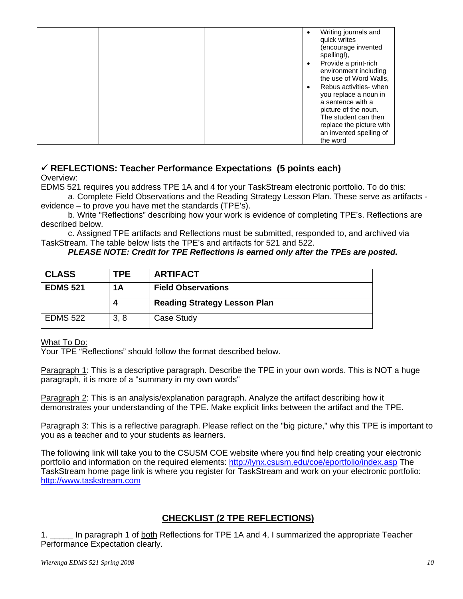|  | ٠ | Writing journals and<br>quick writes<br>(encourage invented<br>spelling!),                   |
|--|---|----------------------------------------------------------------------------------------------|
|  | ٠ | Provide a print-rich<br>environment including<br>the use of Word Walls,                      |
|  |   | Rebus activities- when<br>you replace a noun in<br>a sentence with a<br>picture of the noun. |
|  |   | The student can then<br>replace the picture with<br>an invented spelling of                  |
|  |   | the word                                                                                     |

## 9 **REFLECTIONS: Teacher Performance Expectations (5 points each)**

Overview:

EDMS 521 requires you address TPE 1A and 4 for your TaskStream electronic portfolio. To do this: a. Complete Field Observations and the Reading Strategy Lesson Plan. These serve as artifacts -

evidence – to prove you have met the standards (TPE's).

b. Write "Reflections" describing how your work is evidence of completing TPE's. Reflections are described below.

c. Assigned TPE artifacts and Reflections must be submitted, responded to, and archived via TaskStream. The table below lists the TPE's and artifacts for 521 and 522.

## *PLEASE NOTE: Credit for TPE Reflections is earned only after the TPEs are posted.*

| <b>CLASS</b>    | TPE.                  | <b>ARTIFACT</b>                     |
|-----------------|-----------------------|-------------------------------------|
| <b>EDMS 521</b> | 1A                    | <b>Field Observations</b>           |
|                 | $\boldsymbol{\Delta}$ |                                     |
|                 |                       | <b>Reading Strategy Lesson Plan</b> |

## What To Do:

Your TPE "Reflections" should follow the format described below.

Paragraph 1: This is a descriptive paragraph. Describe the TPE in your own words. This is NOT a huge paragraph, it is more of a "summary in my own words"

Paragraph 2: This is an analysis/explanation paragraph. Analyze the artifact describing how it demonstrates your understanding of the TPE. Make explicit links between the artifact and the TPE.

Paragraph 3: This is a reflective paragraph. Please reflect on the "big picture," why this TPE is important to you as a teacher and to your students as learners.

The following link will take you to the CSUSM COE website where you find help creating your electronic portfolio and information on the required elements: http://lynx.csusm.edu/coe/eportfolio/index.asp The TaskStream home page link is where you register for TaskStream and work on your electronic portfolio: http://www.taskstream.com

## **CHECKLIST (2 TPE REFLECTIONS)**

1. \_\_\_\_\_ In paragraph 1 of both Reflections for TPE 1A and 4, I summarized the appropriate Teacher Performance Expectation clearly.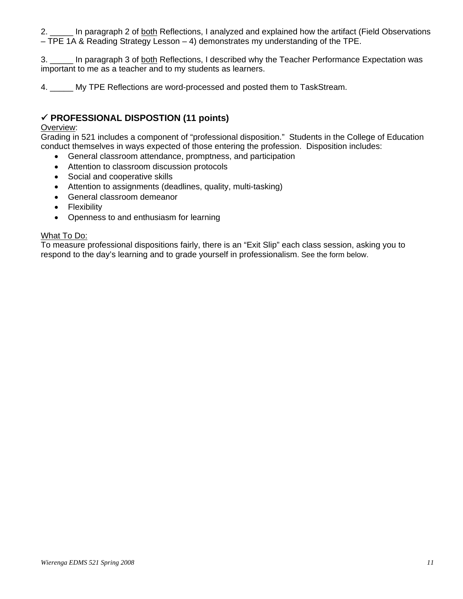2. \_\_\_\_\_ In paragraph 2 of both Reflections, I analyzed and explained how the artifact (Field Observations – TPE 1A & Reading Strategy Lesson – 4) demonstrates my understanding of the TPE.

3. \_\_\_\_\_ In paragraph 3 of both Reflections, I described why the Teacher Performance Expectation was important to me as a teacher and to my students as learners.

4. \_\_\_\_\_ My TPE Reflections are word-processed and posted them to TaskStream.

## 9 **PROFESSIONAL DISPOSTION (11 points)**

#### Overview:

Grading in 521 includes a component of "professional disposition." Students in the College of Education conduct themselves in ways expected of those entering the profession. Disposition includes:

- General classroom attendance, promptness, and participation
- Attention to classroom discussion protocols
- Social and cooperative skills
- Attention to assignments (deadlines, quality, multi-tasking)
- General classroom demeanor
- Flexibility
- Openness to and enthusiasm for learning

#### What To Do:

To measure professional dispositions fairly, there is an "Exit Slip" each class session, asking you to respond to the day's learning and to grade yourself in professionalism. See the form below.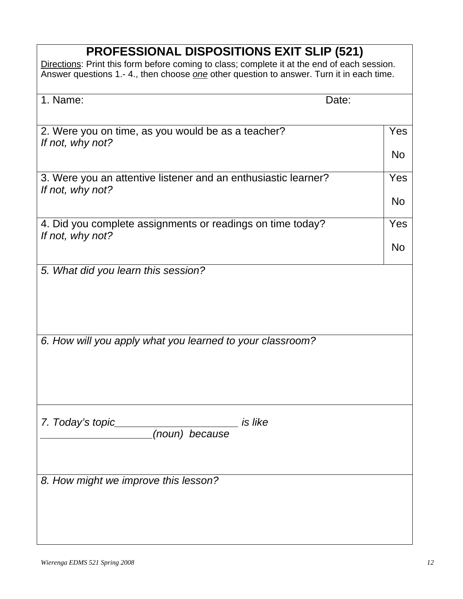# **PROFESSIONAL DISPOSITIONS EXIT SLIP (521)**

Directions: Print this form before coming to class; complete it at the end of each session. Answer questions 1.- 4., then choose *one* other question to answer. Turn it in each time.

| 1. Name:                                                                           | Date:            |
|------------------------------------------------------------------------------------|------------------|
| 2. Were you on time, as you would be as a teacher?<br>If not, why not?             | Yes<br><b>No</b> |
| 3. Were you an attentive listener and an enthusiastic learner?<br>If not, why not? | Yes<br><b>No</b> |
| 4. Did you complete assignments or readings on time today?<br>If not, why not?     | Yes<br><b>No</b> |
| 5. What did you learn this session?                                                |                  |
| 6. How will you apply what you learned to your classroom?                          |                  |
| 7. Today's topic<br><i>is like</i><br>(noun) because                               |                  |
| 8. How might we improve this lesson?                                               |                  |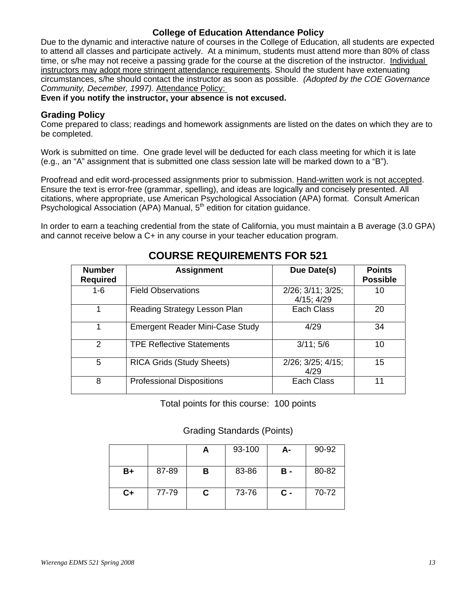## **College of Education Attendance Policy**

Due to the dynamic and interactive nature of courses in the College of Education, all students are expected to attend all classes and participate actively. At a minimum, students must attend more than 80% of class time, or s/he may not receive a passing grade for the course at the discretion of the instructor. Individual instructors may adopt more stringent attendance requirements. Should the student have extenuating circumstances, s/he should contact the instructor as soon as possible. *(Adopted by the COE Governance Community, December, 1997).* Attendance Policy:

#### **Even if you notify the instructor, your absence is not excused.**

## **Grading Policy**

Come prepared to class; readings and homework assignments are listed on the dates on which they are to be completed.

Work is submitted on time. One grade level will be deducted for each class meeting for which it is late (e.g., an "A" assignment that is submitted one class session late will be marked down to a "B").

Proofread and edit word-processed assignments prior to submission. Hand-written work is not accepted. Ensure the text is error-free (grammar, spelling), and ideas are logically and concisely presented. All citations, where appropriate, use American Psychological Association (APA) format. Consult American Psychological Association (APA) Manual,  $5<sup>th</sup>$  edition for citation guidance.

In order to earn a teaching credential from the state of California, you must maintain a B average (3.0 GPA) and cannot receive below a C+ in any course in your teacher education program.

| <b>Number</b><br><b>Required</b> | <b>Assignment</b>                      | Due Date(s)                                   | <b>Points</b><br><b>Possible</b> |
|----------------------------------|----------------------------------------|-----------------------------------------------|----------------------------------|
| $1 - 6$                          | <b>Field Observations</b>              | $2/26$ ; $3/11$ ; $3/25$ ;<br>$4/15$ ; $4/29$ | 10                               |
|                                  | Reading Strategy Lesson Plan           | Each Class                                    | 20                               |
|                                  | <b>Emergent Reader Mini-Case Study</b> | 4/29                                          | 34                               |
| $\mathcal{P}$                    | <b>TPE Reflective Statements</b>       | 3/11; 5/6                                     | 10                               |
| 5                                | <b>RICA Grids (Study Sheets)</b>       | $2/26$ ; $3/25$ ; $4/15$ ;<br>4/29            | 15                               |
| 8                                | <b>Professional Dispositions</b>       | Each Class                                    | 11                               |

## **COURSE REQUIREMENTS FOR 521**

Total points for this course: 100 points

Grading Standards (Points)

|      |       |   | 93-100 | А-         | 90-92 |
|------|-------|---|--------|------------|-------|
| B+   | 87-89 | В | 83-86  | в -        | 80-82 |
| $C+$ | 77-79 | C | 73-76  | <b>C</b> - | 70-72 |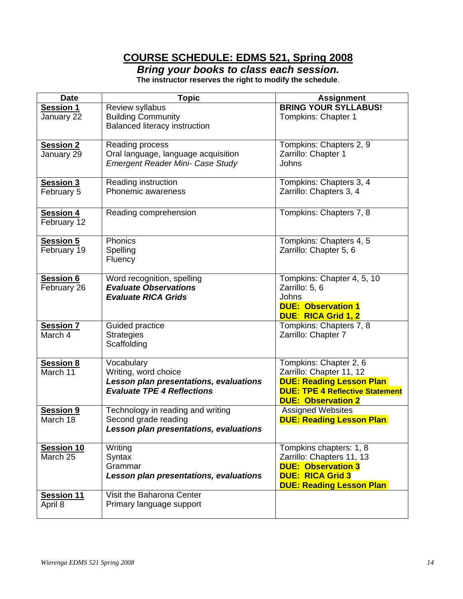## **COURSE SCHEDULE: EDMS 521, Spring 2008**

*Bring your books to class each session.* 

**The instructor reserves the right to modify the schedule**.

| <b>Date</b>       | Topic                                  | <b>Assignment</b>                      |
|-------------------|----------------------------------------|----------------------------------------|
| <b>Session 1</b>  | Review syllabus                        | <b>BRING YOUR SYLLABUS!</b>            |
| January 22        | <b>Building Community</b>              | Tompkins: Chapter 1                    |
|                   | <b>Balanced literacy instruction</b>   |                                        |
|                   |                                        |                                        |
| <b>Session 2</b>  | Reading process                        | Tompkins: Chapters 2, 9                |
| January 29        | Oral language, language acquisition    | Zarrillo: Chapter 1                    |
|                   | Emergent Reader Mini- Case Study       | Johns                                  |
|                   |                                        |                                        |
| <b>Session 3</b>  | Reading instruction                    | Tompkins: Chapters 3, 4                |
| February 5        | Phonemic awareness                     | Zarrillo: Chapters 3, 4                |
|                   |                                        |                                        |
| <b>Session 4</b>  | Reading comprehension                  | Tompkins: Chapters 7, 8                |
| February 12       |                                        |                                        |
|                   |                                        |                                        |
| <b>Session 5</b>  | Phonics                                | Tompkins: Chapters 4, 5                |
| February 19       | Spelling                               | Zarrillo: Chapter 5, 6                 |
|                   | Fluency                                |                                        |
|                   |                                        |                                        |
| <b>Session 6</b>  | Word recognition, spelling             | Tompkins: Chapter 4, 5, 10             |
| February 26       | <b>Evaluate Observations</b>           | Zarrillo: 5, 6                         |
|                   | <b>Evaluate RICA Grids</b>             | Johns                                  |
|                   |                                        | <b>DUE: Observation 1</b>              |
|                   |                                        | <b>DUE: RICA Grid 1, 2</b>             |
| <b>Session 7</b>  | Guided practice                        | Tompkins: Chapters 7, 8                |
| March 4           | <b>Strategies</b>                      | Zarrillo: Chapter 7                    |
|                   | Scaffolding                            |                                        |
|                   |                                        |                                        |
| <b>Session 8</b>  | Vocabulary                             | Tompkins: Chapter 2, 6                 |
| March 11          | Writing, word choice                   | Zarrillo: Chapter 11, 12               |
|                   | Lesson plan presentations, evaluations | <b>DUE: Reading Lesson Plan</b>        |
|                   | <b>Evaluate TPE 4 Reflections</b>      | <b>DUE: TPE 4 Reflective Statement</b> |
|                   |                                        | <b>DUE: Observation 2</b>              |
| <b>Session 9</b>  | Technology in reading and writing      | <b>Assigned Websites</b>               |
| March 18          | Second grade reading                   | <b>DUE: Reading Lesson Plan</b>        |
|                   | Lesson plan presentations, evaluations |                                        |
|                   |                                        |                                        |
| Session 10        | Writing                                | Tompkins chapters: 1, 8                |
| March 25          | Syntax                                 | Zarrillo: Chapters 11, 13              |
|                   | Grammar                                | <b>DUE: Observation 3</b>              |
|                   | Lesson plan presentations, evaluations | <b>DUE: RICA Grid 3</b>                |
|                   |                                        | <b>DUE: Reading Lesson Plan</b>        |
| <b>Session 11</b> | Visit the Baharona Center              |                                        |
| April 8           | Primary language support               |                                        |
|                   |                                        |                                        |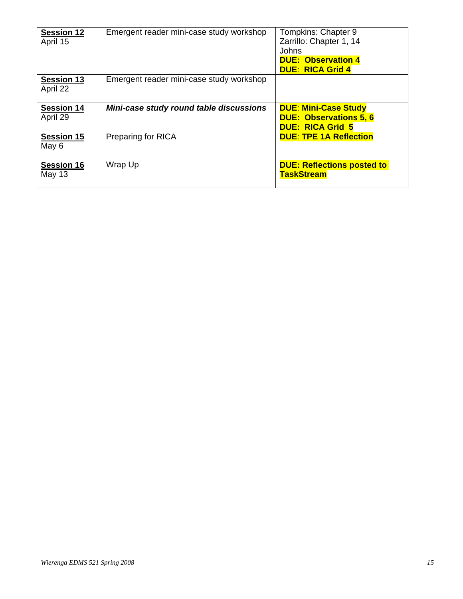| <b>Session 12</b><br>April 15 | Emergent reader mini-case study workshop | Tompkins: Chapter 9<br>Zarrillo: Chapter 1, 14<br>Johns<br><b>DUE: Observation 4</b><br><b>DUE: RICA Grid 4</b> |
|-------------------------------|------------------------------------------|-----------------------------------------------------------------------------------------------------------------|
| <b>Session 13</b><br>April 22 | Emergent reader mini-case study workshop |                                                                                                                 |
| <b>Session 14</b><br>April 29 | Mini-case study round table discussions  | <b>DUE: Mini-Case Study</b><br><b>DUE: Observations 5, 6</b><br><b>DUE: RICA Grid 5</b>                         |
| <b>Session 15</b><br>May 6    | <b>Preparing for RICA</b>                | <b>DUE: TPE 1A Reflection</b>                                                                                   |
| <b>Session 16</b><br>May 13   | Wrap Up                                  | <b>DUE: Reflections posted to</b><br><b>TaskStream</b>                                                          |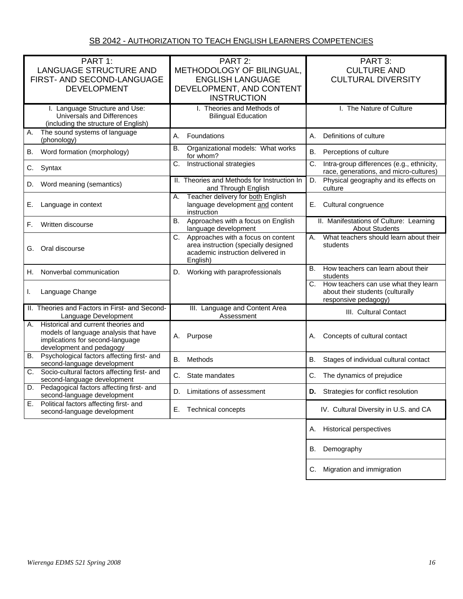| PART 1:                                                                          | PART 2:                                                                   | PART 3:                                                                                   |  |
|----------------------------------------------------------------------------------|---------------------------------------------------------------------------|-------------------------------------------------------------------------------------------|--|
| <b>LANGUAGE STRUCTURE AND</b>                                                    | METHODOLOGY OF BILINGUAL,                                                 | <b>CULTURE AND</b>                                                                        |  |
|                                                                                  |                                                                           |                                                                                           |  |
| FIRST- AND SECOND-LANGUAGE                                                       | <b>ENGLISH LANGUAGE</b>                                                   | <b>CULTURAL DIVERSITY</b>                                                                 |  |
| <b>DEVELOPMENT</b>                                                               | DEVELOPMENT, AND CONTENT                                                  |                                                                                           |  |
|                                                                                  | <b>INSTRUCTION</b>                                                        |                                                                                           |  |
| I. Language Structure and Use:                                                   | I. Theories and Methods of                                                | I. The Nature of Culture                                                                  |  |
| Universals and Differences                                                       | <b>Bilingual Education</b>                                                |                                                                                           |  |
| (including the structure of English)                                             |                                                                           |                                                                                           |  |
| The sound systems of language<br>Α.<br>(phonology)                               | Foundations<br>А.                                                         | Definitions of culture<br>А.                                                              |  |
| Word formation (morphology)<br>В.                                                | <b>B.</b><br>Organizational models: What works<br>for whom?               | В.<br>Perceptions of culture                                                              |  |
| C.<br>Syntax                                                                     | Instructional strategies<br>С.                                            | Intra-group differences (e.g., ethnicity,<br>C.<br>race, generations, and micro-cultures) |  |
| D. Word meaning (semantics)                                                      | II. Theories and Methods for Instruction In<br>and Through English        | Physical geography and its effects on<br>D.<br>culture                                    |  |
|                                                                                  | Teacher delivery for both English<br>А.                                   |                                                                                           |  |
| Language in context<br>Е.                                                        | language development and content                                          | Cultural congruence<br>Е.                                                                 |  |
|                                                                                  | instruction                                                               |                                                                                           |  |
| Written discourse<br>F.                                                          | Approaches with a focus on English<br><b>B.</b>                           | II. Manifestations of Culture: Learning                                                   |  |
|                                                                                  | language development                                                      | <b>About Students</b>                                                                     |  |
|                                                                                  | Approaches with a focus on content<br>C.                                  | What teachers should learn about their<br>А.                                              |  |
| Oral discourse<br>G.                                                             | area instruction (specially designed<br>academic instruction delivered in | students                                                                                  |  |
|                                                                                  | English)                                                                  |                                                                                           |  |
|                                                                                  |                                                                           | В.<br>How teachers can learn about their                                                  |  |
| Nonverbal communication<br>Н.                                                    | Working with paraprofessionals<br>D.                                      | students                                                                                  |  |
|                                                                                  |                                                                           | C. How teachers can use what they learn                                                   |  |
| Language Change<br>I.                                                            |                                                                           | about their students (culturally                                                          |  |
|                                                                                  |                                                                           | responsive pedagogy)                                                                      |  |
| II. Theories and Factors in First- and Second-<br>Language Development           | III. Language and Content Area<br>Assessment                              | III. Cultural Contact                                                                     |  |
| Historical and current theories and<br>А.                                        |                                                                           |                                                                                           |  |
| models of language analysis that have                                            |                                                                           |                                                                                           |  |
| implications for second-language                                                 | Purpose<br>А.                                                             | Concepts of cultural contact<br>А.                                                        |  |
| development and pedagogy                                                         |                                                                           |                                                                                           |  |
| Psychological factors affecting first- and<br>В.                                 | B.<br>Methods                                                             | В.<br>Stages of individual cultural contact                                               |  |
| second-language development                                                      |                                                                           |                                                                                           |  |
| Socio-cultural factors affecting first- and<br>C.<br>second-language development | C. State mandates                                                         | The dynamics of prejudice<br>C.                                                           |  |
| D. Pedagogical factors affecting first- and                                      |                                                                           |                                                                                           |  |
| second-language development                                                      | D. Limitations of assessment                                              | D.<br>Strategies for conflict resolution                                                  |  |
| Political factors affecting first- and<br>Е.                                     |                                                                           |                                                                                           |  |
| second-language development                                                      | Е.<br>Technical concepts                                                  | IV. Cultural Diversity in U.S. and CA                                                     |  |
|                                                                                  |                                                                           |                                                                                           |  |
|                                                                                  |                                                                           | <b>Historical perspectives</b><br>А.                                                      |  |
|                                                                                  |                                                                           |                                                                                           |  |
|                                                                                  |                                                                           | Demography<br>В.                                                                          |  |
|                                                                                  |                                                                           |                                                                                           |  |
|                                                                                  |                                                                           | Migration and immigration<br>C.                                                           |  |
|                                                                                  |                                                                           |                                                                                           |  |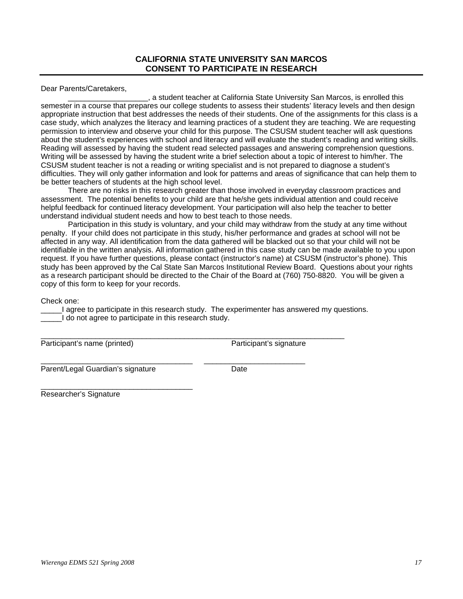Dear Parents/Caretakers,

, a student teacher at California State University San Marcos, is enrolled this semester in a course that prepares our college students to assess their students' literacy levels and then design appropriate instruction that best addresses the needs of their students. One of the assignments for this class is a case study, which analyzes the literacy and learning practices of a student they are teaching. We are requesting permission to interview and observe your child for this purpose. The CSUSM student teacher will ask questions about the student's experiences with school and literacy and will evaluate the student's reading and writing skills. Reading will assessed by having the student read selected passages and answering comprehension questions. Writing will be assessed by having the student write a brief selection about a topic of interest to him/her. The CSUSM student teacher is not a reading or writing specialist and is not prepared to diagnose a student's difficulties. They will only gather information and look for patterns and areas of significance that can help them to be better teachers of students at the high school level.

There are no risks in this research greater than those involved in everyday classroom practices and assessment. The potential benefits to your child are that he/she gets individual attention and could receive helpful feedback for continued literacy development. Your participation will also help the teacher to better understand individual student needs and how to best teach to those needs.

Participation in this study is voluntary, and your child may withdraw from the study at any time without penalty. If your child does not participate in this study, his/her performance and grades at school will not be affected in any way. All identification from the data gathered will be blacked out so that your child will not be identifiable in the written analysis. All information gathered in this case study can be made available to you upon request. If you have further questions, please contact (instructor's name) at CSUSM (instructor's phone). This study has been approved by the Cal State San Marcos Institutional Review Board. Questions about your rights as a research participant should be directed to the Chair of the Board at (760) 750-8820. You will be given a copy of this form to keep for your records.

Check one:

I agree to participate in this research study. The experimenter has answered my questions. I do not agree to participate in this research study.

\_\_\_\_\_\_\_\_\_\_\_\_\_\_\_\_\_\_\_\_\_\_\_\_\_\_\_\_\_\_\_\_\_\_\_\_\_\_\_\_\_\_\_\_\_\_\_\_\_\_\_\_\_\_\_\_\_\_\_\_\_\_\_\_\_\_\_\_\_\_\_\_

\_\_\_\_\_\_\_\_\_\_\_\_\_\_\_\_\_\_\_\_\_\_\_\_\_\_\_\_\_\_\_\_\_\_\_\_ \_\_\_\_\_\_\_\_\_\_\_\_\_\_\_\_\_\_\_\_\_\_\_\_

Participant's name (printed) Participant's signature

Parent/Legal Guardian's signature Date

\_\_\_\_\_\_\_\_\_\_\_\_\_\_\_\_\_\_\_\_\_\_\_\_\_\_\_\_\_\_\_\_\_\_\_\_

Researcher's Signature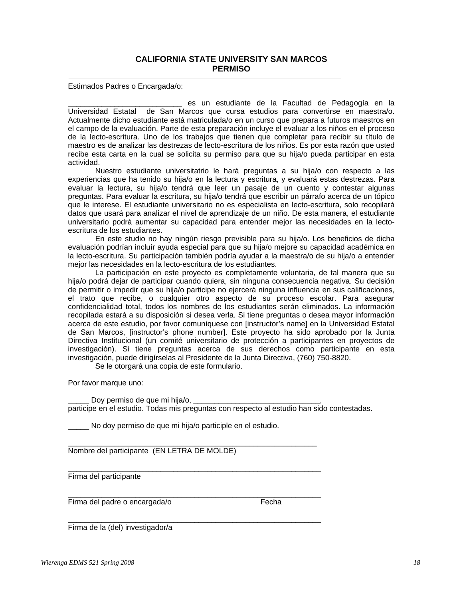#### **CALIFORNIA STATE UNIVERSITY SAN MARCOS PERMISO**

Estimados Padres o Encargada/o:

es un estudiante de la Facultad de Pedagogía en la Universidad Estatal de San Marcos que cursa estudios para convertirse en maestra/o. Actualmente dicho estudiante está matriculada/o en un curso que prepara a futuros maestros en el campo de la evaluación. Parte de esta preparación incluye el evaluar a los niños en el proceso de la lecto-escritura. Uno de los trabajos que tienen que completar para recibir su título de maestro es de analizar las destrezas de lecto-escritura de los niños. Es por esta razón que usted recibe esta carta en la cual se solicita su permiso para que su hija/o pueda participar en esta actividad.

Nuestro estudiante universitatrio le hará preguntas a su hija/o con respecto a las experiencias que ha tenido su hija/o en la lectura y escritura, y evaluará estas destrezas. Para evaluar la lectura, su hija/o tendrá que leer un pasaje de un cuento y contestar algunas preguntas. Para evaluar la escritura, su hija/o tendrá que escribir un párrafo acerca de un tópico que le interese. El estudiante universitario no es especialista en lecto-escritura, solo recopilará datos que usará para analizar el nivel de aprendizaje de un niño. De esta manera, el estudiante universitario podrá aumentar su capacidad para entender mejor las necesidades en la lectoescritura de los estudiantes.

En este studio no hay ningún riesgo previsible para su hija/o. Los beneficios de dicha evaluación podrían incluír ayuda especial para que su hija/o mejore su capacidad académica en la lecto-escritura. Su participación también podría ayudar a la maestra/o de su hija/o a entender mejor las necesidades en la lecto-escritura de los estudiantes.

La participación en este proyecto es completamente voluntaria, de tal manera que su hija/o podrá dejar de participar cuando quiera, sin ninguna consecuencia negativa. Su decisión de permitir o impedir que su hija/o participe no ejercerá ninguna influencia en sus calificaciones, el trato que recibe, o cualquier otro aspecto de su proceso escolar. Para asegurar confidencialidad total, todos los nombres de los estudiantes serán eliminados. La información recopilada estará a su disposición si desea verla. Si tiene preguntas o desea mayor información acerca de este estudio, por favor comuníquese con [instructor's name] en la Universidad Estatal de San Marcos, [instructor's phone number]. Este proyecto ha sido aprobado por la Junta Directiva Institucional (un comité universitario de protección a participantes en proyectos de investigación). Si tiene preguntas acerca de sus derechos como participante en esta investigación, puede dirigírselas al Presidente de la Junta Directiva, (760) 750-8820.

Se le otorgará una copia de este formulario.

Por favor marque uno:

Doy permiso de que mi hija/o, participe en el estudio. Todas mis preguntas con respecto al estudio han sido contestadas.

No doy permiso de que mi hija/o participle en el estudio.

 $\mathcal{L}_\text{max}$  , and the set of the set of the set of the set of the set of the set of the set of the set of the set of the set of the set of the set of the set of the set of the set of the set of the set of the set of the

\_\_\_\_\_\_\_\_\_\_\_\_\_\_\_\_\_\_\_\_\_\_\_\_\_\_\_\_\_\_\_\_\_\_\_\_\_\_\_\_\_\_\_\_\_\_\_\_\_\_\_\_\_\_\_\_\_\_\_\_

\_\_\_\_\_\_\_\_\_\_\_\_\_\_\_\_\_\_\_\_\_\_\_\_\_\_\_\_\_\_\_\_\_\_\_\_\_\_\_\_\_\_\_\_\_\_\_\_\_\_\_\_\_\_\_\_\_\_\_\_

\_\_\_\_\_\_\_\_\_\_\_\_\_\_\_\_\_\_\_\_\_\_\_\_\_\_\_\_\_\_\_\_\_\_\_\_\_\_\_\_\_\_\_\_\_\_\_\_\_\_\_\_\_\_\_\_\_\_\_\_

Nombre del participante (EN LETRA DE MOLDE)

Firma del participante

Firma del padre o encargada/o entra entra en el Fecha

Firma de la (del) investigador/a